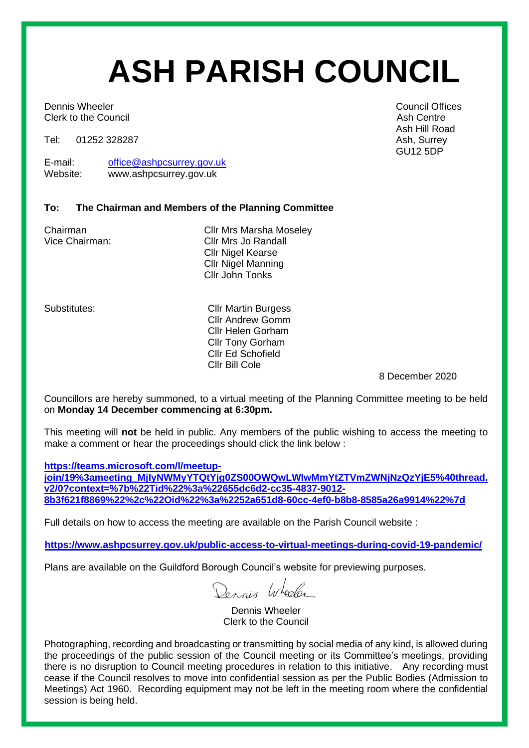# **ASH PARISH COUNCIL**

**Dennis Wheeler** Council Offices **Council Offices** Clerk to the Council **Ash Centre** Ash Centre Ash Centre Ash Centre Ash Centre Ash Centre

Tel: 01252 328287 Ash, Surrey

E-mail: [office@ashpcsurrey.gov.uk](mailto:office@ashpcsurrey.gov.uk)<br>
Website: www.ashpcsurrey.gov.uk www.ashpcsurrey.gov.uk

#### **To: The Chairman and Members of the Planning Committee**

Chairman Chairman Cllr Mrs Marsha Moseley<br>
Vice Chairman: Cllr Mrs Jo Randall Cllr Mrs Jo Randall Cllr Nigel Kearse Cllr Nigel Manning Cllr John Tonks

Substitutes: Cllr Martin Burgess Cllr Andrew Gomm Cllr Helen Gorham Cllr Tony Gorham Cllr Ed Schofield Cllr Bill Cole

8 December 2020

Councillors are hereby summoned, to a virtual meeting of the Planning Committee meeting to be held on **Monday 14 December commencing at 6:30pm.** 

This meeting will **not** be held in public. Any members of the public wishing to access the meeting to make a comment or hear the proceedings should click the link below :

**[https://teams.microsoft.com/l/meetup-](https://teams.microsoft.com/l/meetup-join/19%3ameeting_MjIyNWMyYTQtYjg0ZS00OWQwLWIwMmYtZTVmZWNjNzQzYjE5%40thread.v2/0?context=%7b%22Tid%22%3a%22655dc6d2-cc35-4837-9012-8b3f621f8869%22%2c%22Oid%22%3a%2252a651d8-60cc-4ef0-b8b8-8585a26a9914%22%7d)**

**[join/19%3ameeting\\_MjIyNWMyYTQtYjg0ZS00OWQwLWIwMmYtZTVmZWNjNzQzYjE5%40thread.](https://teams.microsoft.com/l/meetup-join/19%3ameeting_MjIyNWMyYTQtYjg0ZS00OWQwLWIwMmYtZTVmZWNjNzQzYjE5%40thread.v2/0?context=%7b%22Tid%22%3a%22655dc6d2-cc35-4837-9012-8b3f621f8869%22%2c%22Oid%22%3a%2252a651d8-60cc-4ef0-b8b8-8585a26a9914%22%7d) [v2/0?context=%7b%22Tid%22%3a%22655dc6d2-cc35-4837-9012-](https://teams.microsoft.com/l/meetup-join/19%3ameeting_MjIyNWMyYTQtYjg0ZS00OWQwLWIwMmYtZTVmZWNjNzQzYjE5%40thread.v2/0?context=%7b%22Tid%22%3a%22655dc6d2-cc35-4837-9012-8b3f621f8869%22%2c%22Oid%22%3a%2252a651d8-60cc-4ef0-b8b8-8585a26a9914%22%7d) [8b3f621f8869%22%2c%22Oid%22%3a%2252a651d8-60cc-4ef0-b8b8-8585a26a9914%22%7d](https://teams.microsoft.com/l/meetup-join/19%3ameeting_MjIyNWMyYTQtYjg0ZS00OWQwLWIwMmYtZTVmZWNjNzQzYjE5%40thread.v2/0?context=%7b%22Tid%22%3a%22655dc6d2-cc35-4837-9012-8b3f621f8869%22%2c%22Oid%22%3a%2252a651d8-60cc-4ef0-b8b8-8585a26a9914%22%7d)**

Full details on how to access the meeting are available on the Parish Council website :

**<https://www.ashpcsurrey.gov.uk/public-access-to-virtual-meetings-during-covid-19-pandemic/>**

Plans are available on the Guildford Borough Council's website for previewing purposes.

Dennis Wheeler

Dennis Wheeler Clerk to the Council

Photographing, recording and broadcasting or transmitting by social media of any kind, is allowed during the proceedings of the public session of the Council meeting or its Committee's meetings, providing there is no disruption to Council meeting procedures in relation to this initiative. Any recording must cease if the Council resolves to move into confidential session as per the Public Bodies (Admission to Meetings) Act 1960. Recording equipment may not be left in the meeting room where the confidential session is being held.

Ash Hill Road GU12 5DP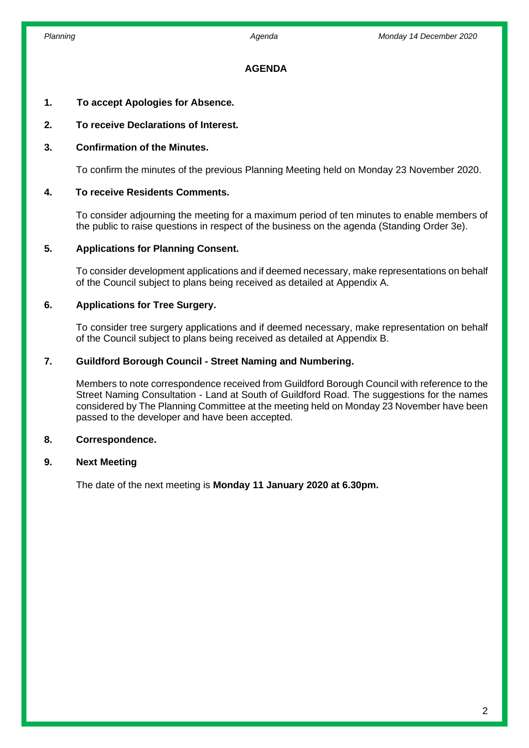### **AGENDA**

#### **1. To accept Apologies for Absence.**

#### **2. To receive Declarations of Interest.**

#### **3. Confirmation of the Minutes.**

To confirm the minutes of the previous Planning Meeting held on Monday 23 November 2020.

#### **4. To receive Residents Comments.**

To consider adjourning the meeting for a maximum period of ten minutes to enable members of the public to raise questions in respect of the business on the agenda (Standing Order 3e).

#### **5. Applications for Planning Consent.**

To consider development applications and if deemed necessary, make representations on behalf of the Council subject to plans being received as detailed at Appendix A.

#### **6. Applications for Tree Surgery.**

To consider tree surgery applications and if deemed necessary, make representation on behalf of the Council subject to plans being received as detailed at Appendix B.

#### **7. Guildford Borough Council - Street Naming and Numbering.**

Members to note correspondence received from Guildford Borough Council with reference to the Street Naming Consultation - Land at South of Guildford Road. The suggestions for the names considered by The Planning Committee at the meeting held on Monday 23 November have been passed to the developer and have been accepted.

#### **8. Correspondence.**

#### **9. Next Meeting**

The date of the next meeting is **Monday 11 January 2020 at 6.30pm.**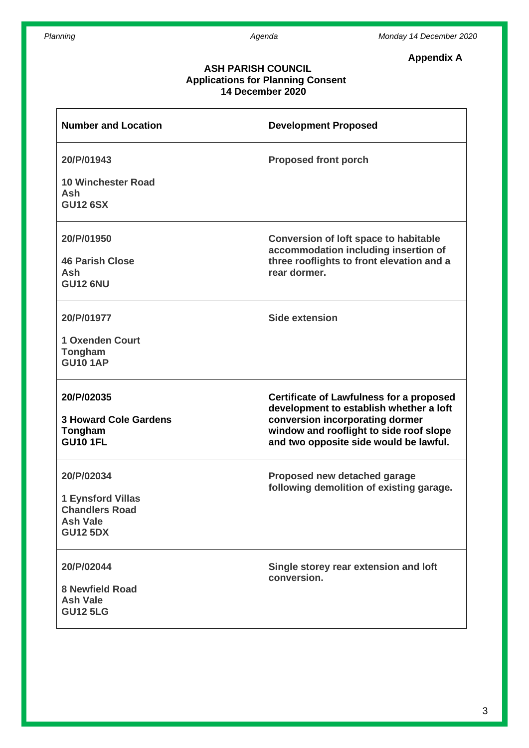**Appendix A**

#### **ASH PARISH COUNCIL Applications for Planning Consent 14 December 2020**

| <b>Number and Location</b>                                                                            | <b>Development Proposed</b>                                                                                                                                                                                        |
|-------------------------------------------------------------------------------------------------------|--------------------------------------------------------------------------------------------------------------------------------------------------------------------------------------------------------------------|
| 20/P/01943<br><b>10 Winchester Road</b><br>Ash<br><b>GU12 6SX</b>                                     | <b>Proposed front porch</b>                                                                                                                                                                                        |
| 20/P/01950<br><b>46 Parish Close</b><br>Ash<br><b>GU12 6NU</b>                                        | <b>Conversion of loft space to habitable</b><br>accommodation including insertion of<br>three rooflights to front elevation and a<br>rear dormer.                                                                  |
| 20/P/01977<br>1 Oxenden Court<br>Tongham<br><b>GU10 1AP</b>                                           | <b>Side extension</b>                                                                                                                                                                                              |
| 20/P/02035<br><b>3 Howard Cole Gardens</b><br>Tongham<br><b>GU10 1FL</b>                              | <b>Certificate of Lawfulness for a proposed</b><br>development to establish whether a loft<br>conversion incorporating dormer<br>window and rooflight to side roof slope<br>and two opposite side would be lawful. |
| 20/P/02034<br><b>1 Eynsford Villas</b><br><b>Chandlers Road</b><br><b>Ash Vale</b><br><b>GU12 5DX</b> | Proposed new detached garage<br>following demolition of existing garage.                                                                                                                                           |
| 20/P/02044<br><b>8 Newfield Road</b><br><b>Ash Vale</b><br><b>GU12 5LG</b>                            | Single storey rear extension and loft<br>conversion.                                                                                                                                                               |